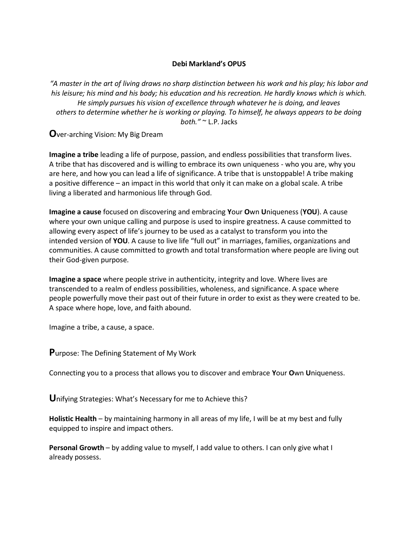## **Debi Markland's OPUS**

*"A master in the art of living draws no sharp distinction between his work and his play; his labor and his leisure; his mind and his body; his education and his recreation. He hardly knows which is which. He simply pursues his vision of excellence through whatever he is doing, and leaves others to determine whether he is working or playing. To himself, he always appears to be doing both."* ~ L.P. Jacks

**O**ver-arching Vision: My Big Dream

**Imagine a tribe** leading a life of purpose, passion, and endless possibilities that transform lives. A tribe that has discovered and is willing to embrace its own uniqueness - who you are, why you are here, and how you can lead a life of significance. A tribe that is unstoppable! A tribe making a positive difference – an impact in this world that only it can make on a global scale. A tribe living a liberated and harmonious life through God.

**Imagine a cause** focused on discovering and embracing **Y**our **O**wn **U**niqueness (**YOU**). A cause where your own unique calling and purpose is used to inspire greatness. A cause committed to allowing every aspect of life's journey to be used as a catalyst to transform you into the intended version of **YOU**. A cause to live life "full out" in marriages, families, organizations and communities. A cause committed to growth and total transformation where people are living out their God-given purpose.

**Imagine a space** where people strive in authenticity, integrity and love. Where lives are transcended to a realm of endless possibilities, wholeness, and significance. A space where people powerfully move their past out of their future in order to exist as they were created to be. A space where hope, love, and faith abound.

Imagine a tribe, a cause, a space.

**P**urpose: The Defining Statement of My Work

Connecting you to a process that allows you to discover and embrace **Y**our **O**wn **U**niqueness.

**U**nifying Strategies: What's Necessary for me to Achieve this?

**Holistic Health** – by maintaining harmony in all areas of my life, I will be at my best and fully equipped to inspire and impact others.

**Personal Growth** – by adding value to myself, I add value to others. I can only give what I already possess.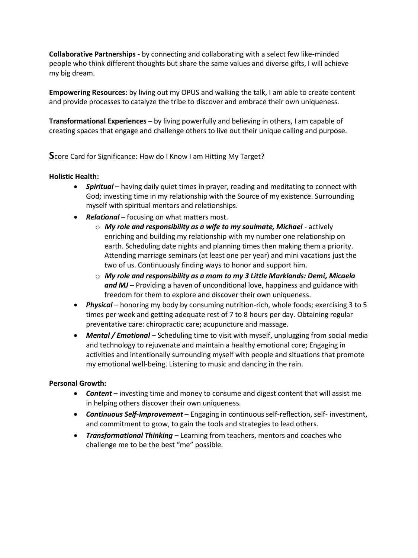**Collaborative Partnerships** - by connecting and collaborating with a select few like-minded people who think different thoughts but share the same values and diverse gifts, I will achieve my big dream.

**Empowering Resources:** by living out my OPUS and walking the talk, I am able to create content and provide processes to catalyze the tribe to discover and embrace their own uniqueness.

**Transformational Experiences** – by living powerfully and believing in others, I am capable of creating spaces that engage and challenge others to live out their unique calling and purpose.

**S**core Card for Significance: How do I Know I am Hitting My Target?

#### **Holistic Health:**

- **Spiritual** having daily quiet times in prayer, reading and meditating to connect with God; investing time in my relationship with the Source of my existence. Surrounding myself with spiritual mentors and relationships.
- Relational focusing on what matters most.
	- o *My role and responsibility as a wife to my soulmate, Michael*  actively enriching and building my relationship with my number one relationship on earth. Scheduling date nights and planning times then making them a priority. Attending marriage seminars (at least one per year) and mini vacations just the two of us. Continuously finding ways to honor and support him.
	- o *My role and responsibility as a mom to my 3 Little Marklands: Demί, Micaela and MJ* – Providing a haven of unconditional love, happiness and guidance with freedom for them to explore and discover their own uniqueness.
- Physical honoring my body by consuming nutrition-rich, whole foods; exercising 3 to 5 times per week and getting adequate rest of 7 to 8 hours per day. Obtaining regular preventative care: chiropractic care; acupuncture and massage.
- **Mental / Emotional** Scheduling time to visit with myself, unplugging from social media and technology to rejuvenate and maintain a healthy emotional core; Engaging in activities and intentionally surrounding myself with people and situations that promote my emotional well-being. Listening to music and dancing in the rain.

#### **Personal Growth:**

- **Content** investing time and money to consume and digest content that will assist me in helping others discover their own uniqueness.
- *Continuous Self-Improvement*  Engaging in continuous self-reflection, self- investment, and commitment to grow, to gain the tools and strategies to lead others.
- *Transformational Thinking*  Learning from teachers, mentors and coaches who challenge me to be the best "me" possible.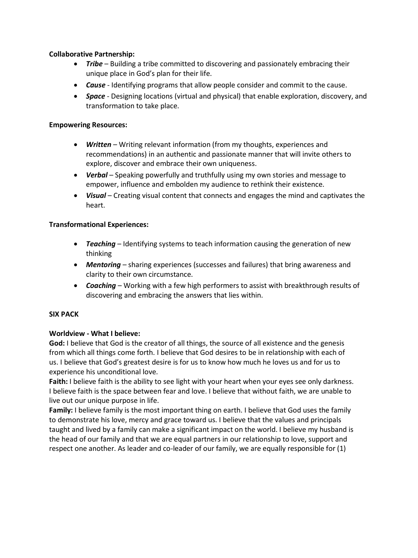### **Collaborative Partnership:**

- *Tribe*  Building a tribe committed to discovering and passionately embracing their unique place in God's plan for their life.
- *Cause*  Identifying programs that allow people consider and commit to the cause.
- *Space*  Designing locations (virtual and physical) that enable exploration, discovery, and transformation to take place.

### **Empowering Resources:**

- *Written*  Writing relevant information (from my thoughts, experiences and recommendations) in an authentic and passionate manner that will invite others to explore, discover and embrace their own uniqueness.
- *Verbal*  Speaking powerfully and truthfully using my own stories and message to empower, influence and embolden my audience to rethink their existence.
- *Visual*  Creating visual content that connects and engages the mind and captivates the heart.

## **Transformational Experiences:**

- *Teaching*  Identifying systems to teach information causing the generation of new thinking
- *Mentoring*  sharing experiences (successes and failures) that bring awareness and clarity to their own circumstance.
- *Coaching*  Working with a few high performers to assist with breakthrough results of discovering and embracing the answers that lies within.

#### **SIX PACK**

#### **Worldview - What I believe:**

God: I believe that God is the creator of all things, the source of all existence and the genesis from which all things come forth. I believe that God desires to be in relationship with each of us. I believe that God's greatest desire is for us to know how much he loves us and for us to experience his unconditional love.

**Faith:** I believe faith is the ability to see light with your heart when your eyes see only darkness. I believe faith is the space between fear and love. I believe that without faith, we are unable to live out our unique purpose in life.

**Family:** I believe family is the most important thing on earth. I believe that God uses the family to demonstrate his love, mercy and grace toward us. I believe that the values and principals taught and lived by a family can make a significant impact on the world. I believe my husband is the head of our family and that we are equal partners in our relationship to love, support and respect one another. As leader and co-leader of our family, we are equally responsible for (1)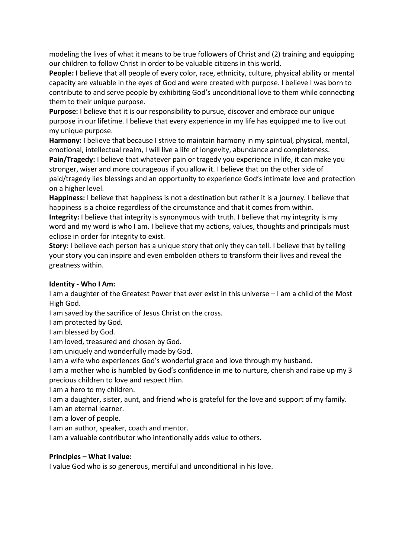modeling the lives of what it means to be true followers of Christ and (2) training and equipping our children to follow Christ in order to be valuable citizens in this world.

**People:** I believe that all people of every color, race, ethnicity, culture, physical ability or mental capacity are valuable in the eyes of God and were created with purpose. I believe I was born to contribute to and serve people by exhibiting God's unconditional love to them while connecting them to their unique purpose.

**Purpose:** I believe that it is our responsibility to pursue, discover and embrace our unique purpose in our lifetime. I believe that every experience in my life has equipped me to live out my unique purpose.

**Harmony:** I believe that because I strive to maintain harmony in my spiritual, physical, mental, emotional, intellectual realm, I will live a life of longevity, abundance and completeness. **Pain/Tragedy:** I believe that whatever pain or tragedy you experience in life, it can make you

stronger, wiser and more courageous if you allow it. I believe that on the other side of paid/tragedy lies blessings and an opportunity to experience God's intimate love and protection on a higher level.

**Happiness:** I believe that happiness is not a destination but rather it is a journey. I believe that happiness is a choice regardless of the circumstance and that it comes from within. **Integrity:** I believe that integrity is synonymous with truth. I believe that my integrity is my word and my word is who I am. I believe that my actions, values, thoughts and principals must eclipse in order for integrity to exist.

**Story**: I believe each person has a unique story that only they can tell. I believe that by telling your story you can inspire and even embolden others to transform their lives and reveal the greatness within.

# **Identity - Who I Am:**

I am a daughter of the Greatest Power that ever exist in this universe – I am a child of the Most High God.

I am saved by the sacrifice of Jesus Christ on the cross.

I am protected by God.

I am blessed by God.

I am loved, treasured and chosen by God.

I am uniquely and wonderfully made by God.

I am a wife who experiences God's wonderful grace and love through my husband.

I am a mother who is humbled by God's confidence in me to nurture, cherish and raise up my 3 precious children to love and respect Him.

I am a hero to my children.

I am a daughter, sister, aunt, and friend who is grateful for the love and support of my family.

I am an eternal learner.

I am a lover of people.

I am an author, speaker, coach and mentor.

I am a valuable contributor who intentionally adds value to others.

# **Principles – What I value:**

I value God who is so generous, merciful and unconditional in his love.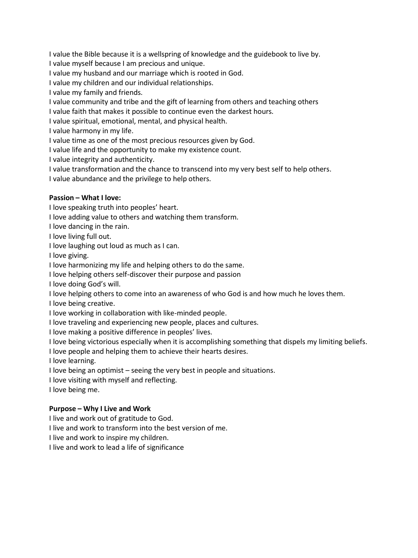I value the Bible because it is a wellspring of knowledge and the guidebook to live by.

I value myself because I am precious and unique.

I value my husband and our marriage which is rooted in God.

I value my children and our individual relationships.

I value my family and friends.

I value community and tribe and the gift of learning from others and teaching others

I value faith that makes it possible to continue even the darkest hours.

I value spiritual, emotional, mental, and physical health.

I value harmony in my life.

I value time as one of the most precious resources given by God.

I value life and the opportunity to make my existence count.

I value integrity and authenticity.

I value transformation and the chance to transcend into my very best self to help others.

I value abundance and the privilege to help others.

# **Passion – What I love:**

I love speaking truth into peoples' heart.

I love adding value to others and watching them transform.

I love dancing in the rain.

I love living full out.

I love laughing out loud as much as I can.

I love giving.

I love harmonizing my life and helping others to do the same.

I love helping others self-discover their purpose and passion

I love doing God's will.

I love helping others to come into an awareness of who God is and how much he loves them.

I love being creative.

I love working in collaboration with like-minded people.

I love traveling and experiencing new people, places and cultures.

I love making a positive difference in peoples' lives.

I love being victorious especially when it is accomplishing something that dispels my limiting beliefs.

I love people and helping them to achieve their hearts desires.

I love learning.

I love being an optimist – seeing the very best in people and situations.

I love visiting with myself and reflecting.

I love being me.

# **Purpose – Why I Live and Work**

I live and work out of gratitude to God.

I live and work to transform into the best version of me.

I live and work to inspire my children.

I live and work to lead a life of significance